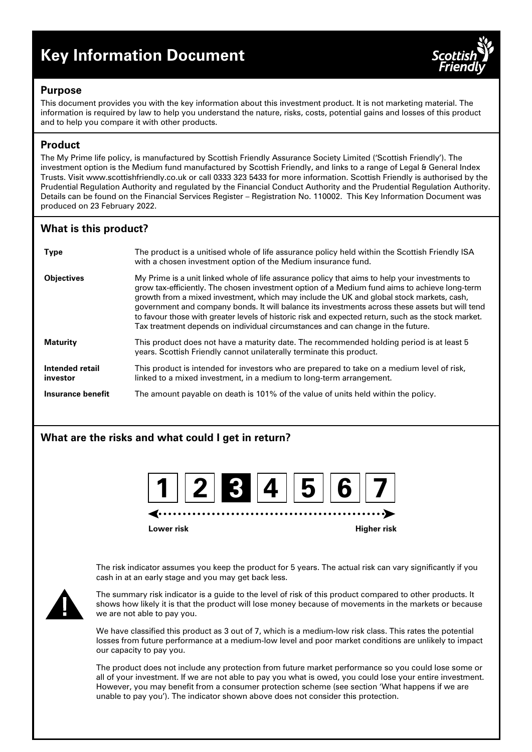# **Key Information Document**



## **Purpose**

This document provides you with the key information about this investment product. It is not marketing material. The information is required by law to help you understand the nature, risks, costs, potential gains and losses of this product and to help you compare it with other products.

# **Product**

The My Prime life policy, is manufactured by Scottish Friendly Assurance Society Limited ('Scottish Friendly'). The investment option is the Medium fund manufactured by Scottish Friendly, and links to a range of Legal & General Index Trusts. Visit www.scottishfriendly.co.uk or call 0333 323 5433 for more information. Scottish Friendly is authorised by the Prudential Regulation Authority and regulated by the Financial Conduct Authority and the Prudential Regulation Authority. Details can be found on the Financial Services Register – Registration No. 110002. This Key Information Document was produced on 23 February 2022.

# **What is this product?**

| <b>Type</b>                 | The product is a unitised whole of life assurance policy held within the Scottish Friendly ISA<br>with a chosen investment option of the Medium insurance fund.                                                                                                                                                                                                                                                                                                                                                                                                                          |
|-----------------------------|------------------------------------------------------------------------------------------------------------------------------------------------------------------------------------------------------------------------------------------------------------------------------------------------------------------------------------------------------------------------------------------------------------------------------------------------------------------------------------------------------------------------------------------------------------------------------------------|
| <b>Objectives</b>           | My Prime is a unit linked whole of life assurance policy that aims to help your investments to<br>grow tax-efficiently. The chosen investment option of a Medium fund aims to achieve long-term<br>growth from a mixed investment, which may include the UK and global stock markets, cash,<br>government and company bonds. It will balance its investments across these assets but will tend<br>to favour those with greater levels of historic risk and expected return, such as the stock market.<br>Tax treatment depends on individual circumstances and can change in the future. |
| <b>Maturity</b>             | This product does not have a maturity date. The recommended holding period is at least 5<br>years. Scottish Friendly cannot unilaterally terminate this product.                                                                                                                                                                                                                                                                                                                                                                                                                         |
| Intended retail<br>investor | This product is intended for investors who are prepared to take on a medium level of risk,<br>linked to a mixed investment, in a medium to long-term arrangement.                                                                                                                                                                                                                                                                                                                                                                                                                        |
| Insurance benefit           | The amount payable on death is 101% of the value of units held within the policy.                                                                                                                                                                                                                                                                                                                                                                                                                                                                                                        |

# **What are the risks and what could I get in return?**



**Lower risk Higher risk**

The risk indicator assumes you keep the product for 5 years. The actual risk can vary significantly if you cash in at an early stage and you may get back less.



The summary risk indicator is a guide to the level of risk of this product compared to other products. It shows how likely it is that the product will lose money because of movements in the markets or because we are not able to pay you.

We have classified this product as 3 out of 7, which is a medium-low risk class. This rates the potential losses from future performance at a medium-low level and poor market conditions are unlikely to impact our capacity to pay you.

The product does not include any protection from future market performance so you could lose some or all of your investment. If we are not able to pay you what is owed, you could lose your entire investment. However, you may benefit from a consumer protection scheme (see section 'What happens if we are unable to pay you'). The indicator shown above does not consider this protection.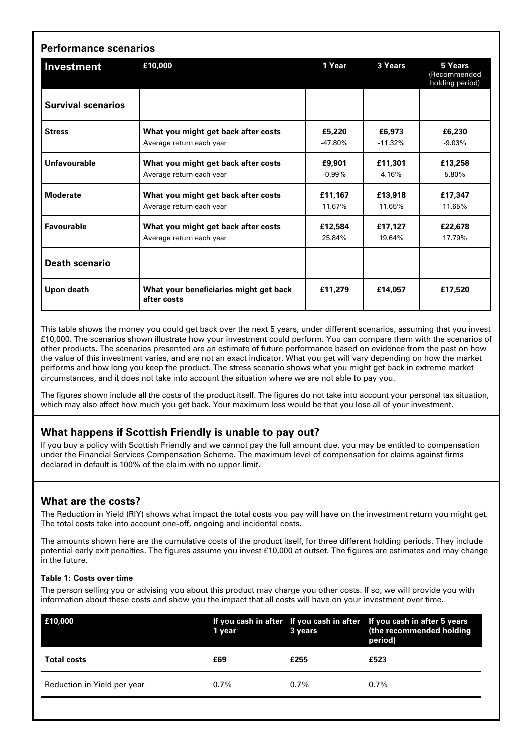| Investment                | £10,000                                               | 1 Year    | 3 Years   | 5 Years<br>(Recommended<br>holding period) |
|---------------------------|-------------------------------------------------------|-----------|-----------|--------------------------------------------|
| <b>Survival scenarios</b> |                                                       |           |           |                                            |
| <b>Stress</b>             | What you might get back after costs                   | £5,220    | £6,973    | £6,230                                     |
|                           | Average return each year                              | $-47.80%$ | $-11.32%$ | $-9.03%$                                   |
| Unfavourable              | What you might get back after costs                   | £9.901    | £11,301   | £13,258                                    |
|                           | Average return each year                              | $-0.99%$  | 4.16%     | 5.80%                                      |
| <b>Moderate</b>           | What you might get back after costs                   | £11,167   | £13,918   | £17,347                                    |
|                           | Average return each year                              | 11.67%    | 11.65%    | 11.65%                                     |
| <b>Favourable</b>         | What you might get back after costs                   | £12,584   | £17,127   | £22,678                                    |
|                           | Average return each year                              | 25.84%    | 19.64%    | 17.79%                                     |
| <b>Death scenario</b>     |                                                       |           |           |                                            |
| Upon death                | What your beneficiaries might get back<br>after costs | £11.279   | £14,057   | £17.520                                    |

This table shows the money you could get back over the next 5 years, under different scenarios, assuming that you invest £10,000. The scenarios shown illustrate how your investment could perform. You can compare them with the scenarios of other products. The scenarios presented are an estimate of future performance based on evidence from the past on how the value of this investment varies, and are not an exact indicator. What you get will vary depending on how the market performs and how long you keep the product. The stress scenario shows what you might get back in extreme market circumstances, and it does not take into account the situation where we are not able to pay you.

The figures shown include all the costs of the product itself. The figures do not take into account your personal tax situation, which may also affect how much you get back. Your maximum loss would be that you lose all of your investment.

# **What happens if Scottish Friendly is unable to pay out?**

If you buy a policy with Scottish Friendly and we cannot pay the full amount due, you may be entitled to compensation under the Financial Services Compensation Scheme. The maximum level of compensation for claims against firms declared in default is 100% of the claim with no upper limit.

# **What are the costs?**

The Reduction in Yield (RIY) shows what impact the total costs you pay will have on the investment return you might get. The total costs take into account one-off, ongoing and incidental costs.

The amounts shown here are the cumulative costs of the product itself, for three different holding periods. They include potential early exit penalties. The figures assume you invest £10,000 at outset. The figures are estimates and may change in the future.

#### **Table 1: Costs over time**

The person selling you or advising you about this product may charge you other costs. If so, we will provide you with information about these costs and show you the impact that all costs will have on your investment over time.

| E10,000                     | 1 year  | 3 years | If you cash in after If you cash in after If you cash in after 5 years<br>(the recommended holding<br>period) |
|-----------------------------|---------|---------|---------------------------------------------------------------------------------------------------------------|
| <b>Total costs</b>          | £69     | £255    | £523                                                                                                          |
| Reduction in Yield per year | $0.7\%$ | $0.7\%$ | $0.7\%$                                                                                                       |